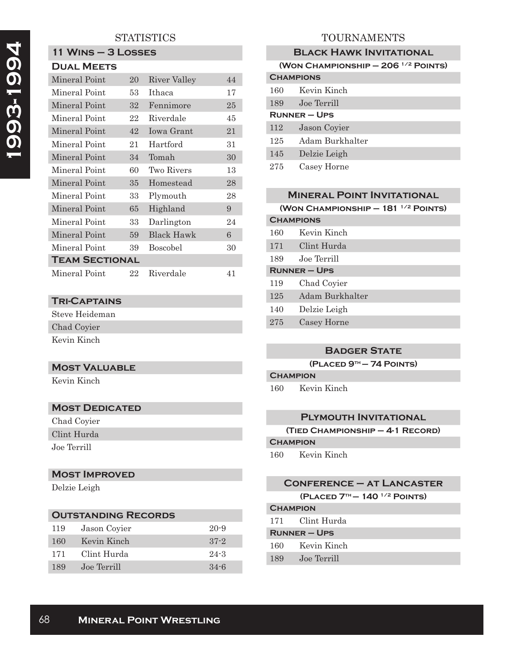# **STATISTICS**

# **11 Wins – 3 Losses**

| <b>DUAL MEETS</b>     |    |                 |        |  |
|-----------------------|----|-----------------|--------|--|
| Mineral Point         | 20 | River Valley    | 44     |  |
| Mineral Point         | 53 | Ithaca          | 17     |  |
| Mineral Point         | 32 | Fennimore       | $25\,$ |  |
| Mineral Point         | 22 | Riverdale       | 45     |  |
| Mineral Point         | 42 | Iowa Grant      | 21     |  |
| Mineral Point         | 21 | Hartford        | 31     |  |
| Mineral Point         | 34 | Tomah           | 30     |  |
| Mineral Point         | 60 | Two Rivers      | 13     |  |
| Mineral Point         | 35 | Homestead       | 28     |  |
| Mineral Point         | 33 | Plymouth        | 28     |  |
| Mineral Point         | 65 | Highland        | 9      |  |
| Mineral Point         | 33 | Darlington      | 24     |  |
| Mineral Point         | 59 | Black Hawk      | 6      |  |
| Mineral Point         | 39 | <b>Boscobel</b> | 30     |  |
| <b>TEAM SECTIONAL</b> |    |                 |        |  |
| Mineral Point         | 22 | Riverdale       | 41     |  |

# **Tri-Captains**

Steve Heideman Chad Coyier Kevin Kinch

# **Most Valuable**

Kevin Kinch

## **MOST DEDICATED**

Chad Coyier Clint Hurda Joe Terrill

#### **Most Improved**

Delzie Leigh

# **Outstanding Records** 119 Jason Coyier 20-9 160 Kevin Kinch 37-2 171 Clint Hurda 24-3

189 Joe Terrill 34-6

# TOURNAMENTS

| <b>BLACK HAWK INVITATIONAL</b>             |                 |  |  |
|--------------------------------------------|-----------------|--|--|
| (WON CHAMPIONSHIP $-$ 206 $^{1/2}$ POINTS) |                 |  |  |
| <b>CHAMPIONS</b>                           |                 |  |  |
| 160                                        | Kevin Kinch     |  |  |
| 189                                        | Joe Terrill     |  |  |
| <b>RUNNER – UPS</b>                        |                 |  |  |
| 112                                        | Jason Coyier    |  |  |
| 125                                        | Adam Burkhalter |  |  |
| 145                                        | Delzie Leigh    |  |  |
| 275                                        | Casey Horne     |  |  |

#### **Mineral Point Invitational**

**(Won Championship – 181 1/2 Points)**

| <b>CHAMPIONS</b>    |                 |  |
|---------------------|-----------------|--|
| 160                 | Kevin Kinch     |  |
| 171                 | Clint Hurda     |  |
| 189                 | Joe Terrill     |  |
| <b>RUNNER - UPS</b> |                 |  |
| 119                 | Chad Coyier     |  |
| 125                 | Adam Burkhalter |  |
| 140                 | Delzie Leigh    |  |
| 275                 | Casey Horne     |  |
|                     |                 |  |

## **Badger State**

**(Placed 9th – 74 Points)**

# **Champion**

160 Kevin Kinch

#### **Plymouth Invitational**

```
(Tied Championship – 4-1 Record)
```
# **Champion**

160 Kevin Kinch

#### **Conference – at Lancaster (Placed 7th – 140 1/2 Points) Champion**

|                     | 171 Clint Hurda |  |
|---------------------|-----------------|--|
| <b>RUNNER – UPS</b> |                 |  |
|                     | 160 Kevin Kinch |  |
| 189                 | Joe Terrill     |  |
|                     |                 |  |